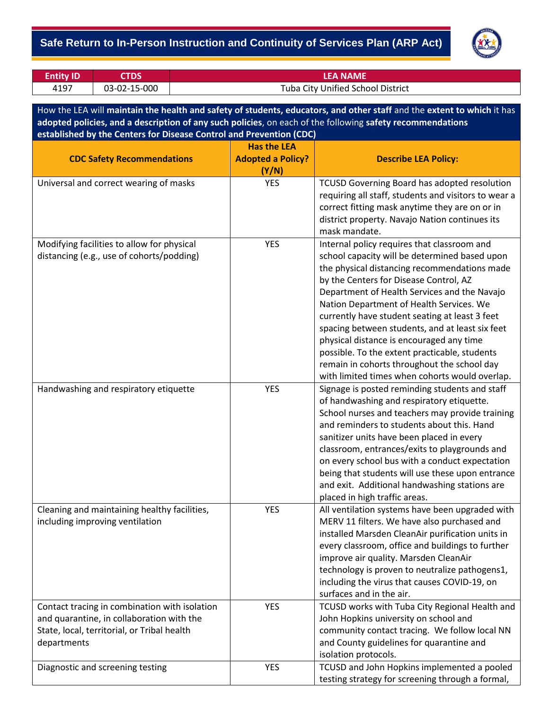## - **Safe Return to In-Person Instruction and Continuity of Services Plan (ARP Act)**



| <b>Entity ID</b> | <b>STDS</b>  | LEA NAME                          |
|------------------|--------------|-----------------------------------|
| 4197             | 03-02-15-000 | Tuba City Unified School District |

How the LEA will **maintain the health and safety of students, educators, and other staff** and the **extent to which** it has **adopted policies, and a description of any such policies**, on each of the following **safety recommendations established by the Centers for Disease Control and Prevention (CDC)**

|                                               | <b>Has the LEA</b>       |                                                                                                 |
|-----------------------------------------------|--------------------------|-------------------------------------------------------------------------------------------------|
| <b>CDC Safety Recommendations</b>             | <b>Adopted a Policy?</b> | <b>Describe LEA Policy:</b>                                                                     |
|                                               | (Y/N)                    |                                                                                                 |
| Universal and correct wearing of masks        | <b>YES</b>               | TCUSD Governing Board has adopted resolution                                                    |
|                                               |                          | requiring all staff, students and visitors to wear a                                            |
|                                               |                          | correct fitting mask anytime they are on or in                                                  |
|                                               |                          | district property. Navajo Nation continues its<br>mask mandate.                                 |
| Modifying facilities to allow for physical    | <b>YES</b>               | Internal policy requires that classroom and                                                     |
| distancing (e.g., use of cohorts/podding)     |                          | school capacity will be determined based upon                                                   |
|                                               |                          | the physical distancing recommendations made                                                    |
|                                               |                          | by the Centers for Disease Control, AZ                                                          |
|                                               |                          | Department of Health Services and the Navajo                                                    |
|                                               |                          | Nation Department of Health Services. We                                                        |
|                                               |                          | currently have student seating at least 3 feet                                                  |
|                                               |                          | spacing between students, and at least six feet                                                 |
|                                               |                          | physical distance is encouraged any time                                                        |
|                                               |                          | possible. To the extent practicable, students                                                   |
|                                               |                          | remain in cohorts throughout the school day                                                     |
|                                               |                          | with limited times when cohorts would overlap.                                                  |
| Handwashing and respiratory etiquette         | <b>YES</b>               | Signage is posted reminding students and staff                                                  |
|                                               |                          | of handwashing and respiratory etiquette.                                                       |
|                                               |                          | School nurses and teachers may provide training                                                 |
|                                               |                          | and reminders to students about this. Hand                                                      |
|                                               |                          | sanitizer units have been placed in every                                                       |
|                                               |                          | classroom, entrances/exits to playgrounds and                                                   |
|                                               |                          | on every school bus with a conduct expectation                                                  |
|                                               |                          | being that students will use these upon entrance                                                |
|                                               |                          | and exit. Additional handwashing stations are                                                   |
|                                               |                          | placed in high traffic areas.                                                                   |
| Cleaning and maintaining healthy facilities,  | <b>YES</b>               | All ventilation systems have been upgraded with                                                 |
| including improving ventilation               |                          | MERV 11 filters. We have also purchased and<br>installed Marsden CleanAir purification units in |
|                                               |                          | every classroom, office and buildings to further                                                |
|                                               |                          | improve air quality. Marsden CleanAir                                                           |
|                                               |                          | technology is proven to neutralize pathogens1,                                                  |
|                                               |                          | including the virus that causes COVID-19, on                                                    |
|                                               |                          | surfaces and in the air.                                                                        |
| Contact tracing in combination with isolation | <b>YES</b>               | TCUSD works with Tuba City Regional Health and                                                  |
| and quarantine, in collaboration with the     |                          | John Hopkins university on school and                                                           |
| State, local, territorial, or Tribal health   |                          | community contact tracing. We follow local NN                                                   |
| departments                                   |                          | and County guidelines for quarantine and                                                        |
|                                               |                          | isolation protocols.                                                                            |
| Diagnostic and screening testing              | <b>YES</b>               | TCUSD and John Hopkins implemented a pooled                                                     |
|                                               |                          | testing strategy for screening through a formal,                                                |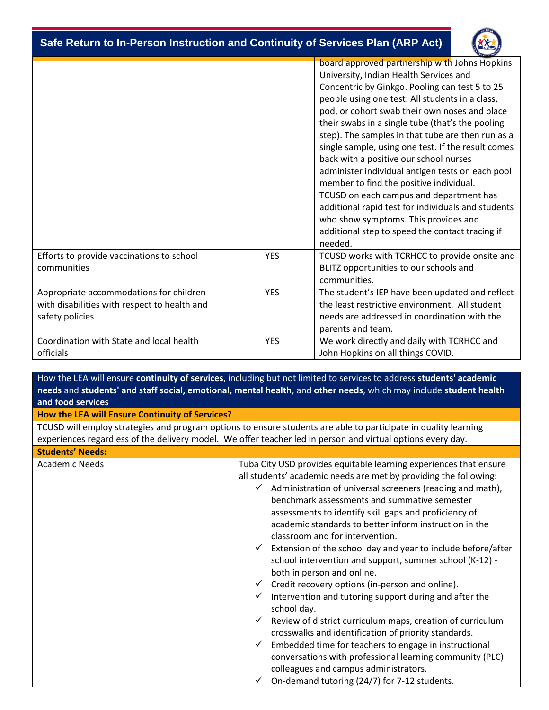- **Safe Return to In-Person Instruction and Continuity of Services Plan (ARP Act)**



|                                                                                                            |            | board approved partnership with Johns Hopkins<br>University, Indian Health Services and<br>Concentric by Ginkgo. Pooling can test 5 to 25<br>people using one test. All students in a class,<br>pod, or cohort swab their own noses and place<br>their swabs in a single tube (that's the pooling<br>step). The samples in that tube are then run as a<br>single sample, using one test. If the result comes<br>back with a positive our school nurses<br>administer individual antigen tests on each pool<br>member to find the positive individual.<br>TCUSD on each campus and department has<br>additional rapid test for individuals and students<br>who show symptoms. This provides and<br>additional step to speed the contact tracing if<br>needed. |
|------------------------------------------------------------------------------------------------------------|------------|--------------------------------------------------------------------------------------------------------------------------------------------------------------------------------------------------------------------------------------------------------------------------------------------------------------------------------------------------------------------------------------------------------------------------------------------------------------------------------------------------------------------------------------------------------------------------------------------------------------------------------------------------------------------------------------------------------------------------------------------------------------|
| Efforts to provide vaccinations to school<br>communities                                                   | <b>YES</b> | TCUSD works with TCRHCC to provide onsite and<br>BLITZ opportunities to our schools and<br>communities.                                                                                                                                                                                                                                                                                                                                                                                                                                                                                                                                                                                                                                                      |
| Appropriate accommodations for children<br>with disabilities with respect to health and<br>safety policies | <b>YES</b> | The student's IEP have been updated and reflect<br>the least restrictive environment. All student<br>needs are addressed in coordination with the<br>parents and team.                                                                                                                                                                                                                                                                                                                                                                                                                                                                                                                                                                                       |
| Coordination with State and local health<br>officials                                                      | <b>YES</b> | We work directly and daily with TCRHCC and<br>John Hopkins on all things COVID.                                                                                                                                                                                                                                                                                                                                                                                                                                                                                                                                                                                                                                                                              |

How the LEA will ensure **continuity of services**, including but not limited to services to address **students' academic needs** and **students' and staff social, emotional, mental health**, and **other needs**, which may include **student health and food services**

#### **How the LEA will Ensure Continuity of Services?**

TCUSD will employ strategies and program options to ensure students are able to participate in quality learning experiences regardless of the delivery model. We offer teacher led in person and virtual options every day.

#### **Students' Needs:**

Academic Needs Tuba City USD provides equitable learning experiences that ensure all students' academic needs are met by providing the following:  $\checkmark$  Administration of universal screeners (reading and math), benchmark assessments and summative semester assessments to identify skill gaps and proficiency of academic standards to better inform instruction in the classroom and for intervention.  $\checkmark$  Extension of the school day and year to include before/after school intervention and support, summer school (K-12) both in person and online.  $\checkmark$  Credit recovery options (in-person and online).  $\checkmark$  Intervention and tutoring support during and after the school day.  $\checkmark$  Review of district curriculum maps, creation of curriculum crosswalks and identification of priority standards.  $\checkmark$  Embedded time for teachers to engage in instructional conversations with professional learning community (PLC) colleagues and campus administrators.

 $\checkmark$  On-demand tutoring (24/7) for 7-12 students.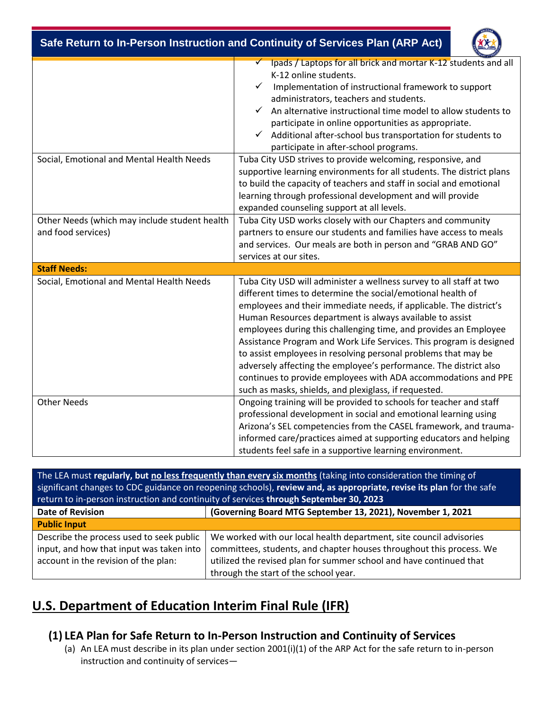| Safe Return to In-Person Instruction and Continuity of Services Plan (ARP Act) |                                                                                                                                                                                                                                                                                                                                                                                                                                                                                                                                                                                                                                                                                   |  |  |  |
|--------------------------------------------------------------------------------|-----------------------------------------------------------------------------------------------------------------------------------------------------------------------------------------------------------------------------------------------------------------------------------------------------------------------------------------------------------------------------------------------------------------------------------------------------------------------------------------------------------------------------------------------------------------------------------------------------------------------------------------------------------------------------------|--|--|--|
|                                                                                | Ipads / Laptops for all brick and mortar K-12 students and all<br>K-12 online students.<br>Implementation of instructional framework to support<br>administrators, teachers and students.<br>An alternative instructional time model to allow students to<br>participate in online opportunities as appropriate.<br>Additional after-school bus transportation for students to<br>$\checkmark$<br>participate in after-school programs.                                                                                                                                                                                                                                           |  |  |  |
| Social, Emotional and Mental Health Needs                                      | Tuba City USD strives to provide welcoming, responsive, and<br>supportive learning environments for all students. The district plans<br>to build the capacity of teachers and staff in social and emotional<br>learning through professional development and will provide<br>expanded counseling support at all levels.                                                                                                                                                                                                                                                                                                                                                           |  |  |  |
| Other Needs (which may include student health<br>and food services)            | Tuba City USD works closely with our Chapters and community<br>partners to ensure our students and families have access to meals<br>and services. Our meals are both in person and "GRAB AND GO"<br>services at our sites.                                                                                                                                                                                                                                                                                                                                                                                                                                                        |  |  |  |
| <b>Staff Needs:</b>                                                            |                                                                                                                                                                                                                                                                                                                                                                                                                                                                                                                                                                                                                                                                                   |  |  |  |
| Social, Emotional and Mental Health Needs                                      | Tuba City USD will administer a wellness survey to all staff at two<br>different times to determine the social/emotional health of<br>employees and their immediate needs, if applicable. The district's<br>Human Resources department is always available to assist<br>employees during this challenging time, and provides an Employee<br>Assistance Program and Work Life Services. This program is designed<br>to assist employees in resolving personal problems that may be<br>adversely affecting the employee's performance. The district also<br>continues to provide employees with ADA accommodations and PPE<br>such as masks, shields, and plexiglass, if requested. |  |  |  |
| <b>Other Needs</b>                                                             | Ongoing training will be provided to schools for teacher and staff<br>professional development in social and emotional learning using<br>Arizona's SEL competencies from the CASEL framework, and trauma-<br>informed care/practices aimed at supporting educators and helping<br>students feel safe in a supportive learning environment.                                                                                                                                                                                                                                                                                                                                        |  |  |  |

The LEA must *regularly, but no less frequently than every six months* (taking into consideration the timing of significant changes to CDC guidance on reopening schools), **review and, as appropriate, revise its plan** for the safe erson instruction and continuity of services **through September 30, 2023** 

| <b>TELUTIFY OF THE SULFACE SULFACE OF SETVICES WILDUKII JEDICINDEI JU, ZUZJ</b> |                                                                      |  |  |  |
|---------------------------------------------------------------------------------|----------------------------------------------------------------------|--|--|--|
| <b>Date of Revision</b>                                                         | (Governing Board MTG September 13, 2021), November 1, 2021           |  |  |  |
| <b>Public Input</b>                                                             |                                                                      |  |  |  |
| Describe the process used to seek public                                        | We worked with our local health department, site council advisories  |  |  |  |
| input, and how that input was taken into                                        | committees, students, and chapter houses throughout this process. We |  |  |  |
| account in the revision of the plan:                                            | utilized the revised plan for summer school and have continued that  |  |  |  |
|                                                                                 | through the start of the school year.                                |  |  |  |

# **U.S. Department of Education Interim Final Rule (IFR)**

### **(1) LEA Plan for Safe Return to In-Person Instruction and Continuity of Services**

(a) An LEA must describe in its plan under section 2001(i)(1) of the ARP Act for the safe return to in-person instruction and continuity of services—